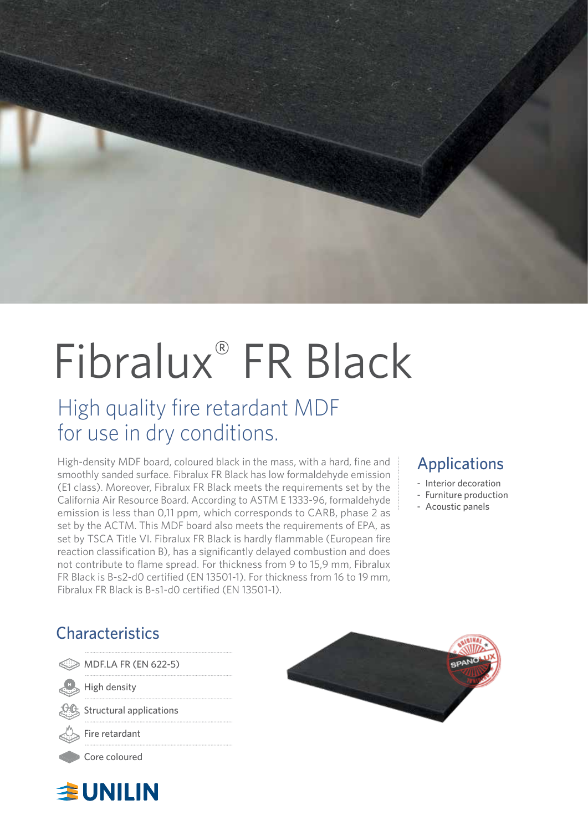

# Fibralux<sup>®</sup> FR Black

### High quality fire retardant MDF for use in dry conditions.

High-density MDF board, coloured black in the mass, with a hard, fine and smoothly sanded surface. Fibralux FR Black has low formaldehyde emission (E1 class). Moreover, Fibralux FR Black meets the requirements set by the California Air Resource Board. According to ASTM E 1333-96, formaldehyde emission is less than 0,11 ppm, which corresponds to CARB, phase 2 as set by the ACTM. This MDF board also meets the requirements of EPA, as set by TSCA Title VI. Fibralux FR Black is hardly flammable (European fire reaction classification B), has a significantly delayed combustion and does not contribute to flame spread. For thickness from 9 to 15,9 mm, Fibralux FR Black is B-s2-d0 certified (EN 13501-1). For thickness from 16 to 19 mm, Fibralux FR Black is B-s1-d0 certified (EN 13501-1).

### Applications

- Interior decoration
- Furniture production
- Acoustic panels

### **Characteristics**

**MDF.LA FR (EN 622-5)** 

High density

Structural applications

Fire retardant

Core coloured